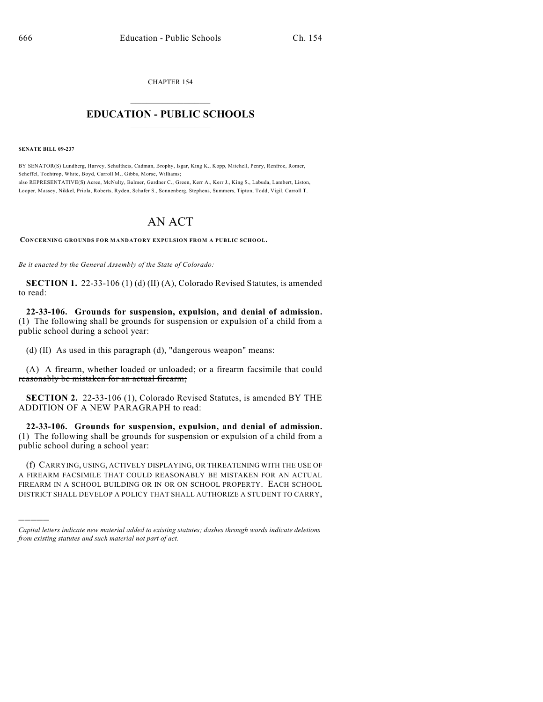CHAPTER 154  $\overline{\phantom{a}}$  . The set of the set of the set of the set of the set of the set of the set of the set of the set of the set of the set of the set of the set of the set of the set of the set of the set of the set of the set o

## **EDUCATION - PUBLIC SCHOOLS**  $\_$   $\_$   $\_$   $\_$   $\_$   $\_$   $\_$   $\_$   $\_$

**SENATE BILL 09-237**

)))))

BY SENATOR(S) Lundberg, Harvey, Schultheis, Cadman, Brophy, Isgar, King K., Kopp, Mitchell, Penry, Renfroe, Romer, Scheffel, Tochtrop, White, Boyd, Carroll M., Gibbs, Morse, Williams; also REPRESENTATIVE(S) Acree, McNulty, Balmer, Gardner C., Green, Kerr A., Kerr J., King S., Labuda, Lambert, Liston, Looper, Massey, Nikkel, Priola, Roberts, Ryden, Schafer S., Sonnenberg, Stephens, Summers, Tipton, Todd, Vigil, Carroll T.

## AN ACT

**CONCERNING GROUNDS FOR MANDATORY EXPULSION FROM A PUBLIC SCHOOL.**

*Be it enacted by the General Assembly of the State of Colorado:*

**SECTION 1.** 22-33-106 (1) (d) (II) (A), Colorado Revised Statutes, is amended to read:

**22-33-106. Grounds for suspension, expulsion, and denial of admission.** (1) The following shall be grounds for suspension or expulsion of a child from a public school during a school year:

(d) (II) As used in this paragraph (d), "dangerous weapon" means:

(A) A firearm, whether loaded or unloaded; or a firearm facsimile that could reasonably be mistaken for an actual firearm;

**SECTION 2.** 22-33-106 (1), Colorado Revised Statutes, is amended BY THE ADDITION OF A NEW PARAGRAPH to read:

**22-33-106. Grounds for suspension, expulsion, and denial of admission.** (1) The following shall be grounds for suspension or expulsion of a child from a public school during a school year:

(f) CARRYING, USING, ACTIVELY DISPLAYING, OR THREATENING WITH THE USE OF A FIREARM FACSIMILE THAT COULD REASONABLY BE MISTAKEN FOR AN ACTUAL FIREARM IN A SCHOOL BUILDING OR IN OR ON SCHOOL PROPERTY. EACH SCHOOL DISTRICT SHALL DEVELOP A POLICY THAT SHALL AUTHORIZE A STUDENT TO CARRY,

*Capital letters indicate new material added to existing statutes; dashes through words indicate deletions from existing statutes and such material not part of act.*